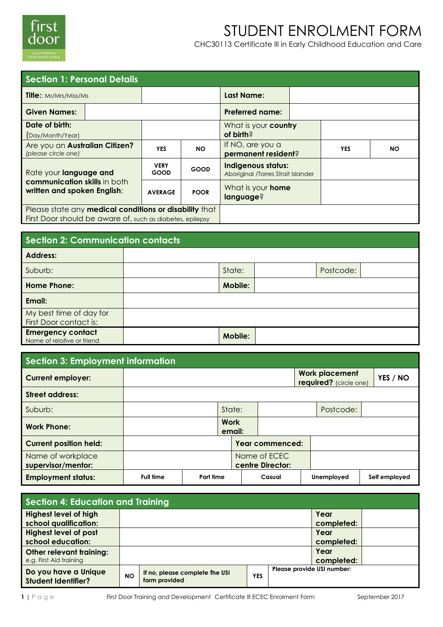

# STUDENT ENROLMENT FORM

CHC30113 Certificate lll in Early Childhood Education and Care

| <b>Section 1: Personal Details</b>                                                                                  |                            |             |                                                                 |  |            |           |  |  |
|---------------------------------------------------------------------------------------------------------------------|----------------------------|-------------|-----------------------------------------------------------------|--|------------|-----------|--|--|
| <b>Title::</b> Mr/Mrs/Miss/Ms                                                                                       |                            |             | Last Name:                                                      |  |            |           |  |  |
| <b>Given Names:</b>                                                                                                 |                            |             | <b>Preferred name:</b>                                          |  |            |           |  |  |
| Date of birth:<br>(Day/Month/Year)                                                                                  |                            |             | What is your country<br>of birth?                               |  |            |           |  |  |
| Are you an Australian Citizen?<br>(please circle one)                                                               | <b>YES</b>                 | <b>NO</b>   | If NO, are you a<br>permanent resident?                         |  | <b>YES</b> | <b>NO</b> |  |  |
| Rate your language and                                                                                              | <b>VERY</b><br><b>GOOD</b> | <b>GOOD</b> | <b>Indigenous status:</b><br>Aboriginal /Torres Strait Islander |  |            |           |  |  |
| communication skills in both<br>written and spoken English:                                                         | <b>AVERAGE</b>             | <b>POOR</b> | What is your <b>home</b><br>language?                           |  |            |           |  |  |
| Please state any medical conditions or disability that<br>First Door should be aware of, such as diabetes, epilepsy |                            |             |                                                                 |  |            |           |  |  |

| <b>Section 2: Communication contacts</b>               |  |                |  |           |  |  |  |  |
|--------------------------------------------------------|--|----------------|--|-----------|--|--|--|--|
| <b>Address:</b>                                        |  |                |  |           |  |  |  |  |
| Suburb:                                                |  | State:         |  | Postcode: |  |  |  |  |
| <b>Home Phone:</b>                                     |  | <b>Mobile:</b> |  |           |  |  |  |  |
| Email:                                                 |  |                |  |           |  |  |  |  |
| My best time of day for<br>First Door contact is:      |  |                |  |           |  |  |  |  |
| <b>Emergency contact</b><br>Name of relative or friend |  | <b>Mobile:</b> |  |           |  |  |  |  |

| <b>Section 3: Employment information</b> |                  |  |                     |        |                                  |  |                                                 |  |               |
|------------------------------------------|------------------|--|---------------------|--------|----------------------------------|--|-------------------------------------------------|--|---------------|
| <b>Current employer:</b>                 |                  |  |                     |        |                                  |  | <b>Work placement</b><br>required? (circle one) |  | YES / NO      |
| <b>Street address:</b>                   |                  |  |                     |        |                                  |  |                                                 |  |               |
| Suburb:                                  |                  |  | State:              |        |                                  |  | Postcode:                                       |  |               |
| <b>Work Phone:</b>                       |                  |  | <b>Work</b>         | email: |                                  |  |                                                 |  |               |
| <b>Current position held:</b>            |                  |  |                     |        | Year commenced:                  |  |                                                 |  |               |
| Name of workplace<br>supervisor/mentor:  |                  |  |                     |        | Name of ECEC<br>centre Director: |  |                                                 |  |               |
| <b>Employment status:</b>                | <b>Full time</b> |  | Part time<br>Casual |        |                                  |  | Unemployed                                      |  | Self employed |

| <b>Section 4: Education and Training</b>           |           |                                                 |            |                            |            |  |  |
|----------------------------------------------------|-----------|-------------------------------------------------|------------|----------------------------|------------|--|--|
| <b>Highest level of high</b>                       |           |                                                 |            | Year                       |            |  |  |
| school qualification:                              |           |                                                 |            | completed:                 |            |  |  |
| <b>Highest level of post</b>                       |           |                                                 |            | Year                       |            |  |  |
| school education:                                  |           |                                                 |            | completed:                 |            |  |  |
| Other relevant training:                           |           |                                                 |            |                            | Year       |  |  |
| e.g. First Aid training                            |           |                                                 |            |                            | completed: |  |  |
| Do you have a Unique<br><b>Student Identifier?</b> | <b>NO</b> | If no, please complete the USI<br>form provided | <b>YES</b> | Please provide USI number: |            |  |  |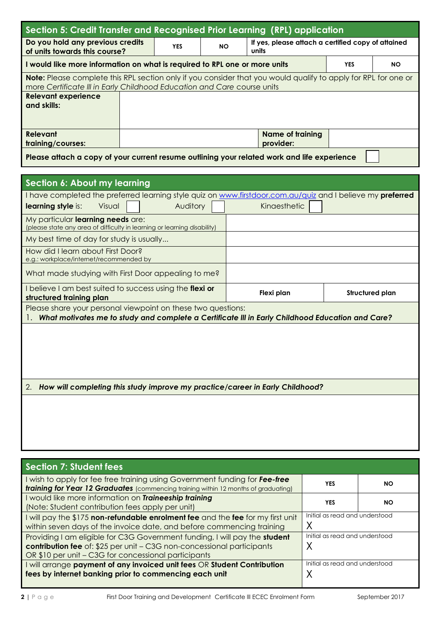| Section 5: Credit Transfer and Recognised Prior Learning (RPL) application                                            |                                                                               |    |       |                                                    |                 |           |  |  |  |
|-----------------------------------------------------------------------------------------------------------------------|-------------------------------------------------------------------------------|----|-------|----------------------------------------------------|-----------------|-----------|--|--|--|
| Do you hold any previous credits<br>of units towards this course?                                                     | <b>YES</b>                                                                    | NΟ | units | If yes, please attach a certified copy of attained |                 |           |  |  |  |
| I would like more information on what is required to RPL one or more units                                            |                                                                               |    |       |                                                    | <b>YES</b>      | <b>NO</b> |  |  |  |
| <b>Note:</b> Please complete this RPL section only if you consider that you would qualify to apply for RPL for one or |                                                                               |    |       |                                                    |                 |           |  |  |  |
| more Certificate III in Early Childhood Education and Care course units<br><b>Relevant experience</b>                 |                                                                               |    |       |                                                    |                 |           |  |  |  |
| and skills:                                                                                                           |                                                                               |    |       |                                                    |                 |           |  |  |  |
|                                                                                                                       |                                                                               |    |       |                                                    |                 |           |  |  |  |
| <b>Relevant</b>                                                                                                       |                                                                               |    |       | <b>Name of training</b>                            |                 |           |  |  |  |
| training/courses:                                                                                                     |                                                                               |    |       | provider:                                          |                 |           |  |  |  |
| Please attach a copy of your current resume outlining your related work and life experience                           |                                                                               |    |       |                                                    |                 |           |  |  |  |
|                                                                                                                       |                                                                               |    |       |                                                    |                 |           |  |  |  |
| <b>Section 6: About my learning</b>                                                                                   |                                                                               |    |       |                                                    |                 |           |  |  |  |
| I have completed the preferred learning style quiz on www.firstdoor.com.au/quiz and I believe my preferred            |                                                                               |    |       |                                                    |                 |           |  |  |  |
| learning style is:<br>Visual                                                                                          | Auditory                                                                      |    |       | Kinaesthetic                                       |                 |           |  |  |  |
| My particular learning needs are:<br>(please state any area of difficulty in learning or learning disability)         |                                                                               |    |       |                                                    |                 |           |  |  |  |
| My best time of day for study is usually                                                                              |                                                                               |    |       |                                                    |                 |           |  |  |  |
| How did I learn about First Door?                                                                                     |                                                                               |    |       |                                                    |                 |           |  |  |  |
| e.g.: workplace/internet/recommended by                                                                               |                                                                               |    |       |                                                    |                 |           |  |  |  |
| What made studying with First Door appealing to me?                                                                   |                                                                               |    |       |                                                    |                 |           |  |  |  |
| I believe I am best suited to success using the flexi or<br>structured training plan                                  |                                                                               |    |       | Flexi plan                                         | Structured plan |           |  |  |  |
| Please share your personal viewpoint on these two questions:                                                          |                                                                               |    |       |                                                    |                 |           |  |  |  |
| What motivates me to study and complete a Certificate III in Early Childhood Education and Care?                      |                                                                               |    |       |                                                    |                 |           |  |  |  |
|                                                                                                                       |                                                                               |    |       |                                                    |                 |           |  |  |  |
|                                                                                                                       |                                                                               |    |       |                                                    |                 |           |  |  |  |
|                                                                                                                       |                                                                               |    |       |                                                    |                 |           |  |  |  |
|                                                                                                                       |                                                                               |    |       |                                                    |                 |           |  |  |  |
| 2.                                                                                                                    | How will completing this study improve my practice/career in Early Childhood? |    |       |                                                    |                 |           |  |  |  |
|                                                                                                                       |                                                                               |    |       |                                                    |                 |           |  |  |  |
|                                                                                                                       |                                                                               |    |       |                                                    |                 |           |  |  |  |
|                                                                                                                       |                                                                               |    |       |                                                    |                 |           |  |  |  |

| Section 7: Student fees                                                                                                                                                                                      |                                |           |  |
|--------------------------------------------------------------------------------------------------------------------------------------------------------------------------------------------------------------|--------------------------------|-----------|--|
| wish to apply for fee free training using Government funding for Fee-free<br><b>training for Year 12 Graduates</b> (commencing training within 12 months of graduating)                                      | YES                            | <b>NO</b> |  |
| I would like more information on Traineeship training<br>(Note: Student contribution fees apply per unit)                                                                                                    | <b>YES</b>                     | <b>NO</b> |  |
| will pay the \$175 non-refundable enrolment fee and the fee for my first unit<br>within seven days of the invoice date, and before commencing training                                                       | Initial as read and understood |           |  |
| Providing I am eligible for C3G Government funding, I will pay the student<br>contribution fee of: \$25 per unit - C3G non-concessional participants<br>OR \$10 per unit - C3G for concessional participants | Initial as read and understood |           |  |
| will arrange payment of any invoiced unit fees OR Student Contribution<br>fees by internet banking prior to commencing each unit                                                                             | Initial as read and understood |           |  |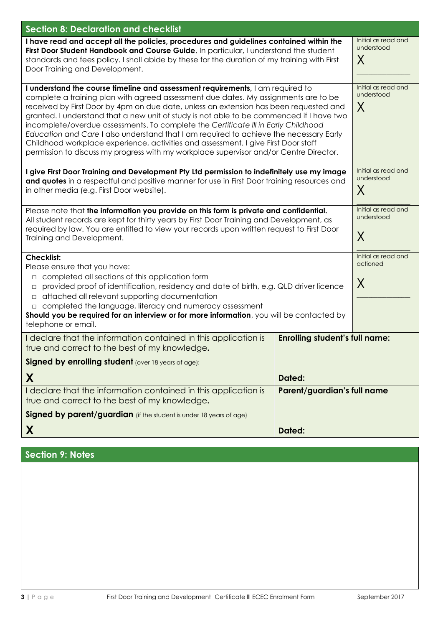| <b>Section 8: Declaration and checklist</b>                                                                                                                                                                                                                                                                                                                                                                                                                                                                                                                                                                                                                                                                                |                                              |                                        |  |  |  |
|----------------------------------------------------------------------------------------------------------------------------------------------------------------------------------------------------------------------------------------------------------------------------------------------------------------------------------------------------------------------------------------------------------------------------------------------------------------------------------------------------------------------------------------------------------------------------------------------------------------------------------------------------------------------------------------------------------------------------|----------------------------------------------|----------------------------------------|--|--|--|
| I have read and accept all the policies, procedures and guidelines contained within the<br>First Door Student Handbook and Course Guide. In particular, I understand the student<br>standards and fees policy. I shall abide by these for the duration of my training with First<br>Door Training and Development.                                                                                                                                                                                                                                                                                                                                                                                                         |                                              | Initial as read and<br>understood<br>X |  |  |  |
| I understand the course timeline and assessment requirements, I am required to<br>complete a training plan with agreed assessment due dates. My assignments are to be<br>received by First Door by 4pm on due date, unless an extension has been requested and<br>granted. I understand that a new unit of study is not able to be commenced if I have two<br>incomplete/overdue assessments. To complete the Certificate III in Early Childhood<br>Education and Care I also understand that I am required to achieve the necessary Early<br>Childhood workplace experience, activities and assessment. I give First Door staff<br>permission to discuss my progress with my workplace supervisor and/or Centre Director. | Initial as read and<br>understood<br>X       |                                        |  |  |  |
| I give First Door Training and Development Pty Ltd permission to indefinitely use my image<br>and quotes in a respectful and positive manner for use in First Door training resources and<br>in other media (e.g. First Door website).                                                                                                                                                                                                                                                                                                                                                                                                                                                                                     | Initial as read and<br>understood<br>$\sf X$ |                                        |  |  |  |
| Please note that the information you provide on this form is private and confidential.<br>All student records are kept for thirty years by First Door Training and Development, as<br>required by law. You are entitled to view your records upon written request to First Door<br>Training and Development.                                                                                                                                                                                                                                                                                                                                                                                                               | Initial as read and<br>understood<br>$\sf X$ |                                        |  |  |  |
| <b>Checklist:</b><br>Please ensure that you have:<br>completed all sections of this application form<br>$\Box$<br>provided proof of identification, residency and date of birth, e.g. QLD driver licence<br>$\Box$<br>attached all relevant supporting documentation<br>$\Box$<br>completed the language, literacy and numeracy assessment<br>Should you be required for an interview or for more information, you will be contacted by<br>telephone or email.                                                                                                                                                                                                                                                             | Initial as read and<br>actioned<br>$\sf X$   |                                        |  |  |  |
| I declare that the information contained in this application is<br>true and correct to the best of my knowledge.                                                                                                                                                                                                                                                                                                                                                                                                                                                                                                                                                                                                           | <b>Enrolling student's full name:</b>        |                                        |  |  |  |
| Signed by enrolling student (over 18 years of age):                                                                                                                                                                                                                                                                                                                                                                                                                                                                                                                                                                                                                                                                        |                                              |                                        |  |  |  |
| X                                                                                                                                                                                                                                                                                                                                                                                                                                                                                                                                                                                                                                                                                                                          |                                              |                                        |  |  |  |
| I declare that the information contained in this application is<br>true and correct to the best of my knowledge.                                                                                                                                                                                                                                                                                                                                                                                                                                                                                                                                                                                                           | Parent/guardian's full name                  |                                        |  |  |  |
| Signed by parent/guardian (if the student is under 18 years of age)                                                                                                                                                                                                                                                                                                                                                                                                                                                                                                                                                                                                                                                        |                                              |                                        |  |  |  |
| X                                                                                                                                                                                                                                                                                                                                                                                                                                                                                                                                                                                                                                                                                                                          |                                              |                                        |  |  |  |

# **Section 9: Notes**